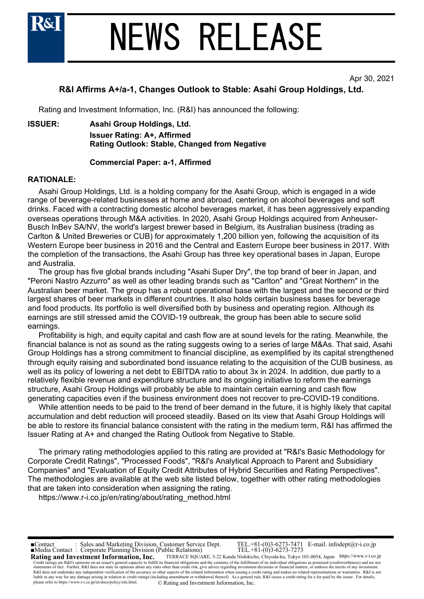

### NEWS RELEASE

### Apr 30, 2021

### **R&I Affirms A+/a-1, Changes Outlook to Stable: Asahi Group Holdings, Ltd.**

Rating and Investment Information, Inc. (R&I) has announced the following:

### **ISSUER: Asahi Group Holdings, Ltd.**

**Issuer Rating: A+, Affirmed Rating Outlook: Stable, Changed from Negative**

### **Commercial Paper: a-1, Affirmed**

### **RATIONALE:**

 Asahi Group Holdings, Ltd. is a holding company for the Asahi Group, which is engaged in a wide range of beverage-related businesses at home and abroad, centering on alcohol beverages and soft drinks. Faced with a contracting domestic alcohol beverages market, it has been aggressively expanding overseas operations through M&A activities. In 2020, Asahi Group Holdings acquired from Anheuser-Busch InBev SA/NV, the world's largest brewer based in Belgium, its Australian business (trading as Carlton & United Breweries or CUB) for approximately 1,200 billion yen, following the acquisition of its Western Europe beer business in 2016 and the Central and Eastern Europe beer business in 2017. With the completion of the transactions, the Asahi Group has three key operational bases in Japan, Europe and Australia.

 The group has five global brands including "Asahi Super Dry", the top brand of beer in Japan, and "Peroni Nastro Azzurro" as well as other leading brands such as "Carlton" and "Great Northern" in the Australian beer market. The group has a robust operational base with the largest and the second or third largest shares of beer markets in different countries. It also holds certain business bases for beverage and food products. Its portfolio is well diversified both by business and operating region. Although its earnings are still stressed amid the COVID-19 outbreak, the group has been able to secure solid earnings.

 Profitability is high, and equity capital and cash flow are at sound levels for the rating. Meanwhile, the financial balance is not as sound as the rating suggests owing to a series of large M&As. That said, Asahi Group Holdings has a strong commitment to financial discipline, as exemplified by its capital strengthened through equity raising and subordinated bond issuance relating to the acquisition of the CUB business, as well as its policy of lowering a net debt to EBITDA ratio to about 3x in 2024. In addition, due partly to a relatively flexible revenue and expenditure structure and its ongoing initiative to reform the earnings structure, Asahi Group Holdings will probably be able to maintain certain earning and cash flow generating capacities even if the business environment does not recover to pre-COVID-19 conditions.

 While attention needs to be paid to the trend of beer demand in the future, it is highly likely that capital accumulation and debt reduction will proceed steadily. Based on its view that Asahi Group Holdings will be able to restore its financial balance consistent with the rating in the medium term, R&I has affirmed the Issuer Rating at A+ and changed the Rating Outlook from Negative to Stable.

 The primary rating methodologies applied to this rating are provided at "R&I's Basic Methodology for Corporate Credit Ratings", "Processed Foods", "R&I's Analytical Approach to Parent and Subsidiary Companies" and "Evaluation of Equity Credit Attributes of Hybrid Securities and Rating Perspectives". The methodologies are available at the web site listed below, together with other rating methodologies that are taken into consideration when assigning the rating.

https://www.r-i.co.jp/en/rating/about/rating\_method.html

**Rating and Investment Information, Inc.** TERRACE SQUARE, 3-22 Kanda Nishikicho, Chiyoda-ku, Tokyo 101-0054, Japan https://www.r-i.co.jp ■Contact : Sales and Marketing Division, Customer Service Dept. TEL.+81-(0)3-6273-7471 E-mail. infodept@r-i.co.jp Credit ratings are R&I's opinions on an issuer's general capacity to fulfill its financial obligations and the certainty of the fulfillment of its individual obligations as promised (creditworthiness) and are not the merit R&I does not undertake any independent verification of the accuracy or other aspects of the related information when issuing a credit rating and makes no related representations or warranties. R&I is not<br>liable in any way please refer to https://www.r-i.co.jp/en/docs/policy/site.html. © Rating and Investment Information, Inc. ■Media Contact : Corporate Planning Division (Public Relations) TEL.+81-(0)3-6273-7273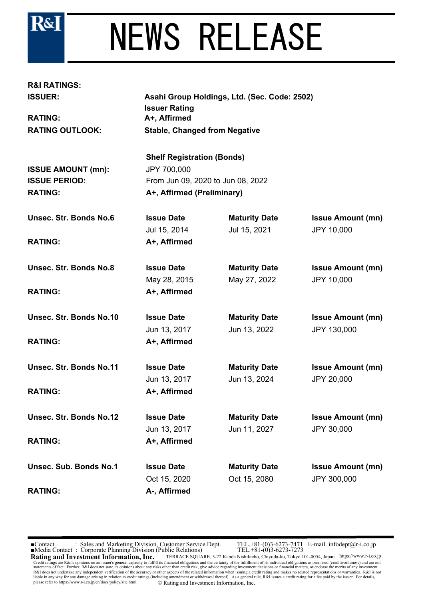

## NEWS RELEASE

| R&I RATINGS:   |
|----------------|
| <b>ISSUER:</b> |

**RATING: A+, Affirmed**

**ISSUER: Asahi Group Holdings, Ltd. (Sec. Code: 2502) Issuer Rating RATING OUTLOOK: Stable, Changed from Negative**

**ISSUE AMOUNT (mn):** JPY 700,000

**Shelf Registration (Bonds) ISSUE PERIOD:** From Jun 09, 2020 to Jun 08, 2022 **RATING: A+, Affirmed (Preliminary)**

**Unsec. Str. Bonds No.6 Issue Date Maturity Date Issue Amount (mn)**

**RATING: A+, Affirmed**

**Unsec. Str. Bonds No.8 Issue Date Maturity Date Issue Amount (mn)**

**RATING: A+, Affirmed**

**Unsec. Str. Bonds No.10 Issue Date Maturity Date Issue Amount (mn)**

**RATING: A+, Affirmed**

**Unsec. Str. Bonds No.11 Issue Date Maturity Date Issue Amount (mn)**

**RATING: A+, Affirmed**

**Unsec. Str. Bonds No.12 Issue Date Maturity Date Issue Amount (mn)**

**RATING: A+, Affirmed**

**RATING: A-, Affirmed**

Jun 13, 2017 Jun 11, 2027 JPY 30,000

Jul 15, 2014 Jul 15, 2021 JPY 10,000

May 28, 2015 May 27, 2022 JPY 10,000

Jun 13, 2017 Jun 13, 2022 JPY 130,000

Jun 13, 2017 Jun 13, 2024 JPY 20,000

Oct 15, 2020 Oct 15, 2080 JPY 300,000

**Unsec. Sub. Bonds No.1 Issue Date Maturity Date Issue Amount (mn)**

**Rating and Investment Information, Inc.** TERRACE SQUARE, 3-22 Kanda Nishikicho, Chiyoda-ku, Tokyo 101-0054, Japan https://www.r-i.co.jp ■Contact : Sales and Marketing Division, Customer Service Dept. TEL.+81-(0)3-6273-7471 E-mail. infodept@r-i.co.jp Credit ratings are R&I's opinions on an issuer's general capacity to fulfill its financial obligations and the certainty of the fulfillment of its individual obligations as promised (creditworthiness) and are not the merit R&I does not undertake any independent verification of the accuracy or other aspects of the related information when issuing a credit rating and makes no related representations or warranties. R&I is not<br>liable in any way please refer to https://www.r-i.co.jp/en/docs/policy/site.html. © Rating and Investment Information, Inc. ■Media Contact : Corporate Planning Division (Public Relations) TEL.+81-(0)3-6273-7273